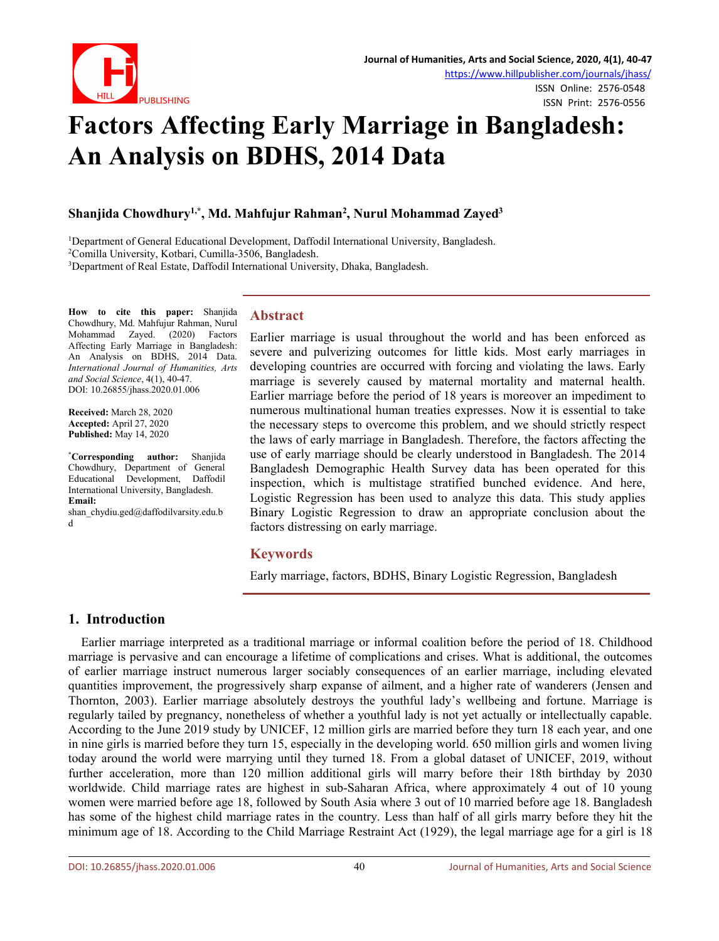

ISSN Print: 2576-0556

# **Factors Affecting Early Marriage in Bangladesh: An Analysis on BDHS, 2014 Data**

#### **Shanjida Chowdhury 1,\* , Md. Mahfujur Rahman 2 , Nurul Mohammad Zayed 3**

<sup>1</sup>Department of General Educational Development, Daffodil International University, Bangladesh.

<sup>2</sup>Comilla University, Kotbari, Cumilla-3506, Bangladesh.

<sup>3</sup>Department of Real Estate, Daffodil International University, Dhaka, Bangladesh.

**How to cite this paper:** Shanjida Chowdhury, Md. Mahfujur Rahman, Nurul Mohammad Zayed. (2020) Factors Affecting Early Marriage in Bangladesh: An Analysis on BDHS, 2014 Data. *International Journal of Humanities, Arts and Social Science*, 4(1), 40-47. DOI: 10.26855/jhass.2020.01.006

**Received:** March 28, 2020 **Accepted:** April 27, 2020 **Published:** May 14, 2020

**\*Corresponding author:** Shanjida Chowdhury, Department of General Educational Development, Daffodil International University, Bangladesh. **Email:**

shan\_chydiu.ged@daffodilvarsity.edu.b d

#### **Abstract**

Earlier marriage is usual throughout the world and has been enforced as severe and pulverizing outcomes for little kids. Most early marriages in developing countries are occurred with forcing and violating the laws. Early marriage is severely caused by maternal mortality and maternal health. Earlier marriage before the period of 18 years is moreover an impediment to numerous multinational human treaties expresses. Now it is essential to take the necessary steps to overcome this problem, and we should strictly respect the laws of early marriage in Bangladesh. Therefore, the factors affecting the use of early marriage should be clearly understood in Bangladesh. The 2014 Bangladesh Demographic Health Survey data has been operated for this inspection, which is multistage stratified bunched evidence. And here, Logistic Regression has been used to analyze this data. This study applies Binary Logistic Regression to draw an appropriate conclusion about the factors distressing on early marriage.

#### **Keywords**

Early marriage, factors, BDHS, Binary Logistic Regression, Bangladesh

# **1. Introduction**

Earlier marriage interpreted as a traditional marriage or informal coalition before the period of 18.Childhood marriage is pervasive and can encourage a lifetime of complications and crises. What is additional, the outcomes of earlier marriage instruct numerous larger sociably consequences of an earlier marriage, including elevated quantities improvement, the progressively sharp expanse of ailment, and a higher rate of wanderers (Jensen and Thornton, 2003). Earlier marriage absolutely destroys the youthful lady's wellbeing and fortune. Marriage is regularly tailed by pregnancy, nonetheless of whether a youthful lady is not yet actually or intellectually capable. According to the June 2019 study by UNICEF, 12 million girls are married before they turn 18 each year, and one in nine girls is married before they turn 15, especially in the developing world. 650 million girls and women living today around the world were marrying until they turned 18. From a global dataset of UNICEF, 2019, without further acceleration, more than 120 million additional girls will marry before their 18th birthday by 2030 worldwide. Child marriage rates are highest in sub-Saharan Africa, where approximately 4 out of 10 young women were married before age 18, followed by South Asia where 3 out of 10 married before age 18. Bangladesh has some of the highest child marriage rates in the country. Less than half of all girls marry before they hit the minimum age of 18.According to the Child Marriage Restraint Act (1929), the legal marriage age for a girl is 18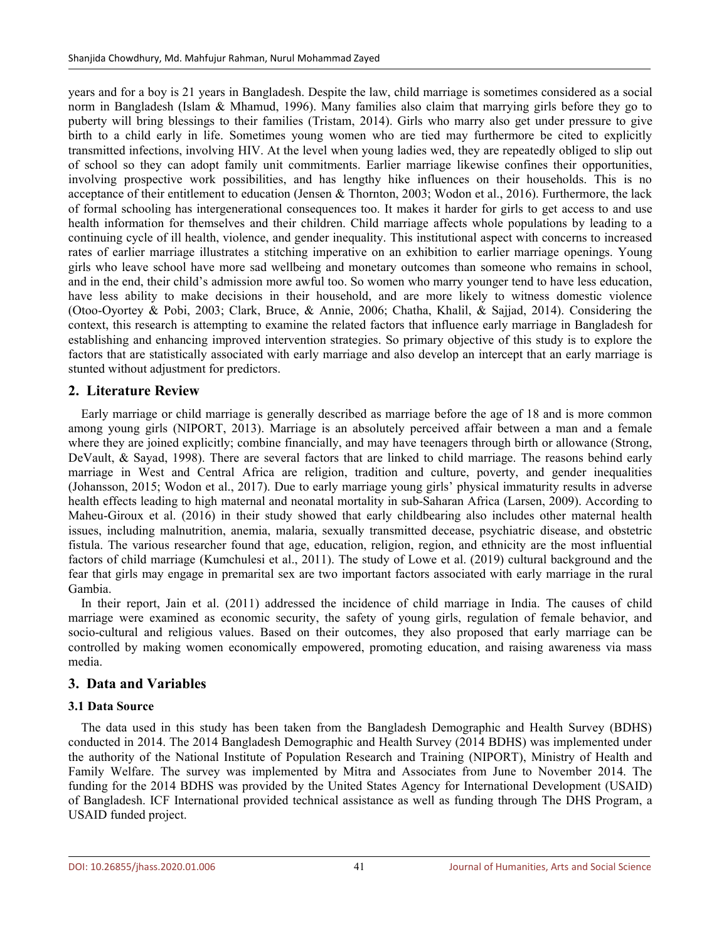years and for a boy is 21 years in Bangladesh. Despite the law, child marriage is sometimes considered as a social norm in Bangladesh (Islam & Mhamud, 1996). Many families also claim that marrying girls before they go to puberty will bring blessings to their families (Tristam, 2014). Girls who marry also get under pressure to give birth to a child early in life. Sometimes young women who are tied may furthermore be cited to explicitly transmitted infections, involving HIV. At the level when young ladies wed, they are repeatedly obliged to slip out of school so they can adopt family unit commitments. Earlier marriage likewise confines their opportunities, involving prospective work possibilities, and has lengthy hike influences on their households. This is no acceptance of their entitlement to education (Jensen & Thornton, 2003; Wodon et al., 2016). Furthermore, the lack of formal schooling has intergenerational consequences too. It makes it harder for girls to get access to and use health information for themselves and their children. Child marriage affects whole populations by leading to a continuing cycle of illhealth, violence, and gender inequality. This institutional aspect with concerns to increased rates of earlier marriage illustrates a stitching imperative on an exhibition to earlier marriage openings. Young girls who leave school have more sad wellbeing and monetary outcomes than someone who remains in school, and in the end, their child's admission more awful too. So women who marry younger tend to have less education, have less ability to make decisions in their household, and are more likely to witness domestic violence (Otoo-Oyortey & Pobi, 2003; Clark, Bruce, & Annie, 2006; Chatha, Khalil, & Sajjad, 2014). Considering the context, this research is attempting to examine the related factors that influence early marriage in Bangladesh for establishing and enhancing improved intervention strategies. So primary objective of this study is to explore the factors that are statistically associated with early marriage and also develop an intercept that an early marriage is stunted without adjustment for predictors.

# **2. Literature Review**

Early marriage or child marriage isgenerally described as marriage before the age of 18 and is more common among young girls (NIPORT, 2013). Marriage is an absolutely perceived affair between a man and a female where they are joined explicitly; combine financially, and may have teenagers through birth or allowance (Strong, DeVault, & Sayad, 1998). There are several factors that are linked to child marriage. The reasons behind early marriage in West and Central Africa are religion, tradition and culture, poverty, and gender inequalities (Johansson, 2015; Wodon et al., 2017). Due to early marriage young girls' physical immaturity results in adverse health effects leading to high maternal and neonatal mortality in sub-Saharan Africa (Larsen, 2009). According to Maheu-Giroux et al. (2016) in their study showed that early childbearing also includes other maternal health issues, including malnutrition, anemia, malaria, sexually transmitted decease, psychiatric disease, and obstetric fistula. The various researcher found that age, education, religion, region, and ethnicity are the most influential factors of child marriage (Kumchulesi et al., 2011). The study of Lowe et al. (2019) cultural background and the fear that girls may engage in premarital sex are two important factors associated with early marriage in the rural Gambia.

In their report, Jain et al. (2011) addressed the incidence of child marriage in India. The causes of child marriage were examined as economic security, the safety of young girls, regulation of female behavior, and socio-cultural and religious values. Based on their outcomes, they also proposed that early marriage can be controlled by making women economically empowered, promoting education, and raising awareness via mass media.

# **3. Data and Variables**

# **3.1 Data Source**

The data used in this study has been taken from the Bangladesh Demographic and Health Survey (BDHS) conducted in 2014. The 2014 Bangladesh Demographic and Health Survey (2014 BDHS) was implemented under the authority of the National Institute of Population Research and Training (NIPORT), Ministry of Health and Family Welfare. The survey wasimplemented by Mitra and Associates from June to November 2014. The funding for the 2014 BDHS was provided by the United States Agency for International Development (USAID) of Bangladesh. ICF International provided technical assistance as well as funding through The DHS Program, a USAID funded project.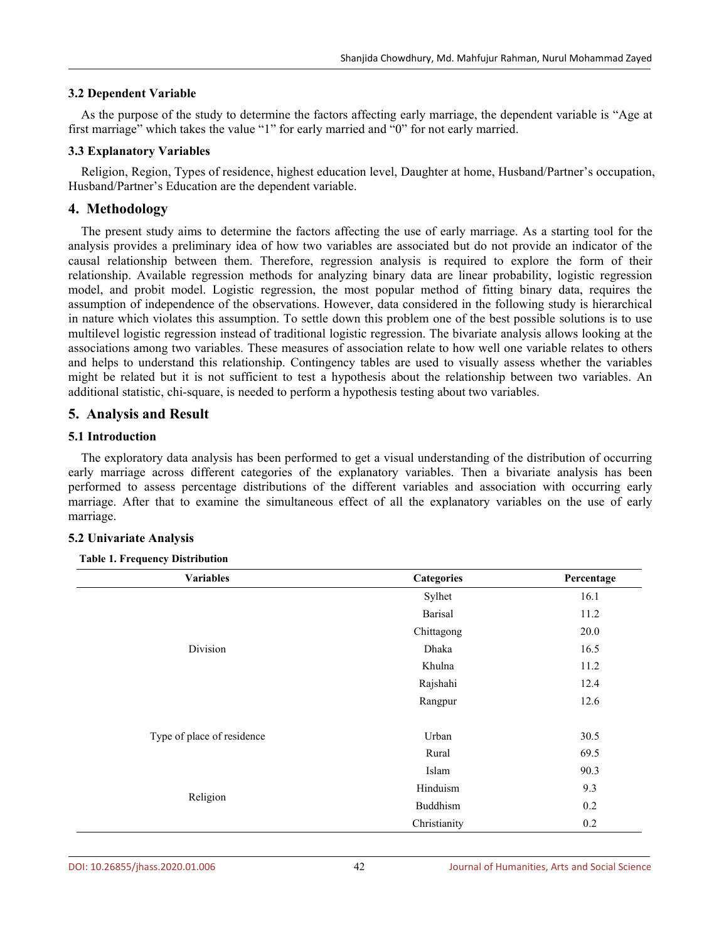#### **3.2 Dependent Variable**

As the purpose of the study to determine the factors affecting early marriage, the dependent variable is "Age at first marriage" which takes the value "1" for early married and "0" for not early married.

#### **3.3 Explanatory Variables**

Religion, Region, Types of residence, highest education level, Daughter at home, Husband/Partner's occupation, Husband/Partner's Education are the dependent variable.

### **4. Methodology**

The present study aims to determine the factors affecting the use of early marriage. As a starting tool for the analysis provides a preliminary idea of how two variables are associated but do not provide an indicator of the causal relationship between them. Therefore, regression analysis is required to explore the form of their relationship. Available regression methods for analyzing binary data are linear probability, logistic regression model, and probit model. Logistic regression, the most popular method of fitting binary data, requires the assumption of independence of the observations. However, data considered in the following study is hierarchical in nature which violates this assumption. To settle down this problem one of the best possible solutions is to use multilevel logistic regression instead of traditional logistic regression. The bivariate analysis allows looking at the associations among two variables. These measures of association relate to how well one variable relates to others and helps to understand this relationship. Contingency tables are used to visually assess whether the variables might be related but it is not sufficient to test a hypothesis about the relationship between two variables. An additional statistic, chi-square, is needed to perform a hypothesis testing about two variables.

## **5. Analysis and Result**

#### **5.1 Introduction**

The exploratory data analysis has been performed to get a visual understanding of the distribution of occurring early marriage across different categories of the explanatory variables. Then a bivariate analysis has been performed to assess percentage distributions of the different variables and association with occurring early marriage. After that to examine the simultaneous effect of all the explanatory variables on the use of early marriage.

#### **5.2 Univariate Analysis**

#### **Table 1. Frequency Distribution**

| <b>Variables</b>           | <b>Categories</b> | Percentage |  |
|----------------------------|-------------------|------------|--|
|                            | Sylhet            | 16.1       |  |
| Division                   | <b>Barisal</b>    | 11.2       |  |
|                            | Chittagong        | 20.0       |  |
|                            | Dhaka             | 16.5       |  |
|                            | Khulna            | 11.2       |  |
|                            | Rajshahi          | 12.4       |  |
|                            | Rangpur           | 12.6       |  |
| Type of place of residence | Urban             | 30.5       |  |
|                            | Rural             | 69.5       |  |
| Religion                   | Islam             | 90.3       |  |
|                            | Hinduism          | 9.3        |  |
|                            | Buddhism          | 0.2        |  |
|                            | Christianity      | 0.2        |  |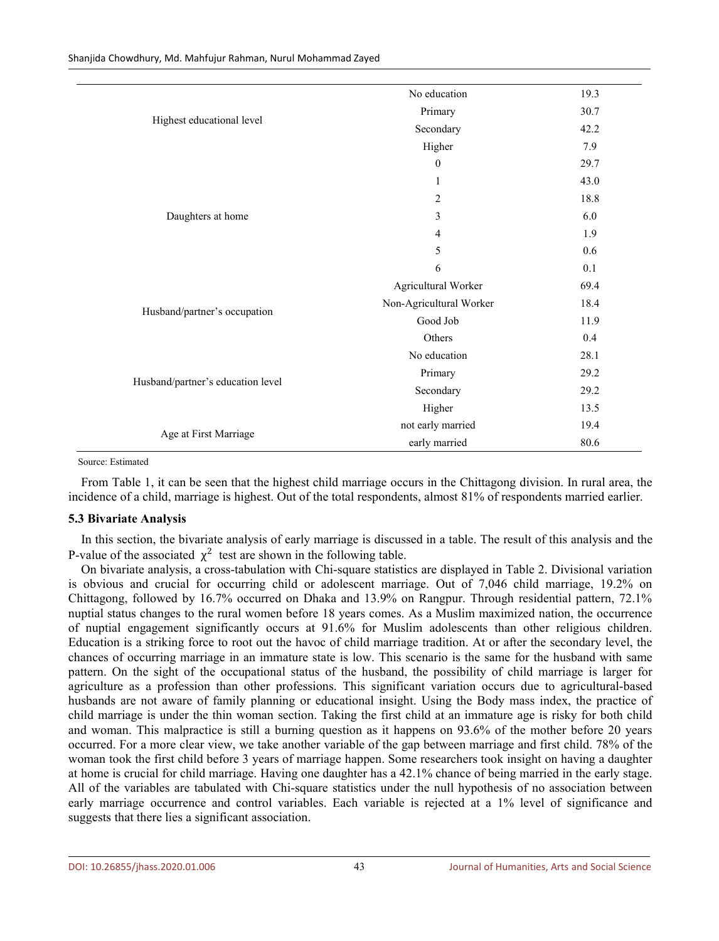Shanjida Chowdhury, Md. Mahfujur Rahman, Nurul Mohammad Zayed

|                                   | No education            | 19.3 |
|-----------------------------------|-------------------------|------|
| Highest educational level         | Primary                 | 30.7 |
|                                   | Secondary               | 42.2 |
|                                   | Higher                  | 7.9  |
| Daughters at home                 | $\boldsymbol{0}$        | 29.7 |
|                                   | $\mathbf{1}$            | 43.0 |
|                                   | $\sqrt{2}$              | 18.8 |
|                                   | 3                       | 6.0  |
|                                   | $\overline{4}$          | 1.9  |
|                                   | 5                       | 0.6  |
|                                   | 6                       | 0.1  |
|                                   | Agricultural Worker     | 69.4 |
|                                   | Non-Agricultural Worker | 18.4 |
| Husband/partner's occupation      | Good Job                | 11.9 |
|                                   | Others                  | 0.4  |
| Husband/partner's education level | No education            | 28.1 |
|                                   | Primary                 | 29.2 |
|                                   | Secondary               | 29.2 |
|                                   | Higher                  | 13.5 |
|                                   | not early married       | 19.4 |
| Age at First Marriage             | early married           | 80.6 |

#### Source: Estimated

From Table 1, it can be seen that the highest child marriage occurs in the Chittagong division. In rural area, the incidence of a child, marriage is highest. Out of the total respondents, almost 81% of respondents married earlier.

#### **5.3 Bivariate Analysis**

In this section, the bivariate analysis of early marriage is discussed in a table. The result of this analysis and the P-value of the associated  $\chi^2$  test are shown in the following table.

On bivariate analysis, a cross-tabulation with Chi-square statistics are displayed in Table 2. Divisional variation is obvious and crucial for occurring child or adolescent marriage. Out of 7,046 child marriage, 19.2% on Chittagong, followed by 16.7% occurred on Dhaka and 13.9% on Rangpur. Through residential pattern, 72.1% nuptial status changes to the rural women before 18 years comes. As a Muslim maximized nation, the occurrence of nuptial engagement significantly occurs at 91.6% for Muslim adolescents than other religious children. Education is a striking force to root out the havoc of child marriage tradition. At or after the secondary level, the chances of occurring marriage in an immature state islow. This scenario is the same for the husband with same pattern. On the sight of the occupational status of the husband, the possibility of child marriage is larger for agriculture as a profession than other professions. This significant variation occurs due to agricultural-based husbands are not aware of family planning or educational insight. Using the Body mass index, the practice of child marriage is under the thin woman section. Taking the first child at an immature age is risky for both child and woman. This malpractice isstill a burning question as it happens on 93.6% of the mother before 20 years occurred. For a more clear view, we take another variable of the gap between marriage and first child. 78% of the woman took the first child before 3 years of marriage happen. Some researchers took insight on having a daughter at home is crucial for child marriage. Having one daughter has a 42.1% chance of being married in the early stage. All of the variables are tabulated with Chi-square statistics under the null hypothesis of no association between early marriage occurrence and control variables. Each variable is rejected at a 1% level of significance and suggests that there lies a significant association.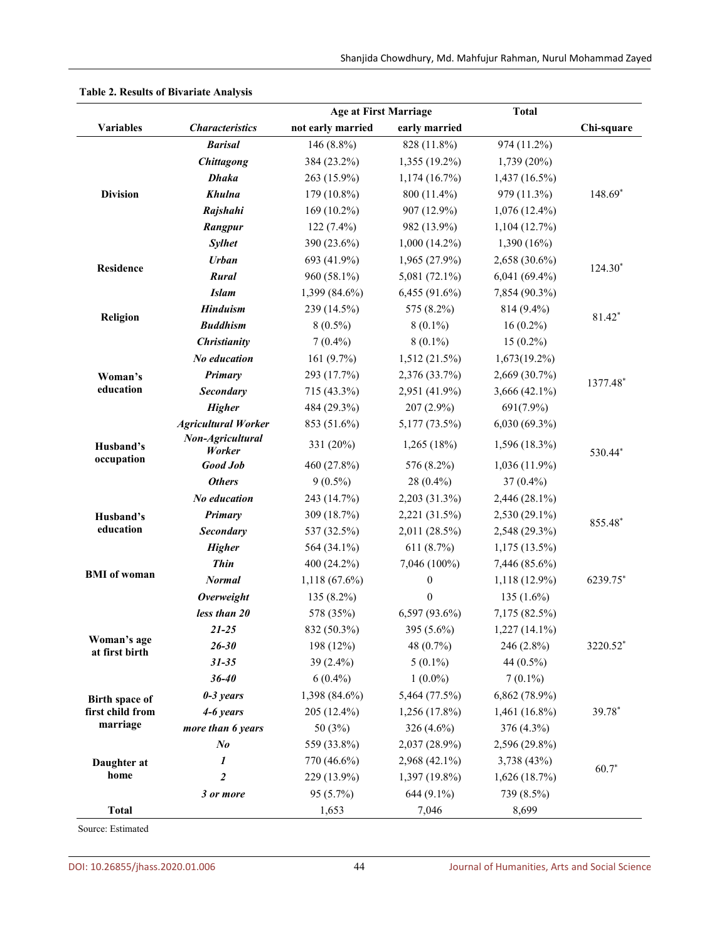|                       |                            | <b>Age at First Marriage</b> |                  | <b>Total</b>    |            |  |
|-----------------------|----------------------------|------------------------------|------------------|-----------------|------------|--|
| <b>Variables</b>      | <b>Characteristics</b>     | not early married            | early married    |                 | Chi-square |  |
|                       | <b>Barisal</b>             | 146 (8.8%)                   | 828 (11.8%)      | 974 (11.2%)     |            |  |
| <b>Division</b>       | <b>Chittagong</b>          | 384 (23.2%)                  | 1,355 (19.2%)    | $1,739(20\%)$   |            |  |
|                       | <b>Dhaka</b>               | 263 (15.9%)                  | 1,174(16.7%)     | $1,437(16.5\%)$ | 148.69*    |  |
|                       | Khulna                     | 179 (10.8%)                  | 800 (11.4%)      | 979 (11.3%)     |            |  |
|                       | Rajshahi                   | $169(10.2\%)$                | 907 (12.9%)      | $1,076(12.4\%)$ |            |  |
|                       | Rangpur                    | 122 (7.4%)                   | 982 (13.9%)      | 1,104(12.7%)    |            |  |
|                       | <b>Sylhet</b>              | 390 (23.6%)                  | $1,000(14.2\%)$  | 1,390 (16%)     |            |  |
|                       | <b>Urban</b>               | 693 (41.9%)                  | 1,965 (27.9%)    | 2,658 (30.6%)   |            |  |
| <b>Residence</b>      | Rural                      | 960 (58.1%)                  | 5,081 (72.1%)    | $6,041(69.4\%)$ | $124.30*$  |  |
|                       | <b>Islam</b>               | 1,399 (84.6%)                | 6,455 (91.6%)    | 7,854 (90.3%)   |            |  |
|                       | <b>Hinduism</b>            | 239 (14.5%)                  | 575 (8.2%)       | 814 (9.4%)      |            |  |
| Religion              | <b>Buddhism</b>            | $8(0.5\%)$                   | $8(0.1\%)$       | $16(0.2\%)$     | 81.42*     |  |
|                       | <b>Christianity</b>        | $7(0.4\%)$                   | $8(0.1\%)$       | $15(0.2\%)$     |            |  |
|                       | No education               | 161 (9.7%)                   | 1,512 (21.5%)    | 1,673(19.2%)    |            |  |
| Woman's               | Primary                    | 293 (17.7%)                  | 2,376 (33.7%)    | 2,669 (30.7%)   | 1377.48*   |  |
| education             | <b>Secondary</b>           | 715 (43.3%)                  | 2,951 (41.9%)    | 3,666 (42.1%)   |            |  |
|                       | <b>Higher</b>              | 484 (29.3%)                  | 207 (2.9%)       | 691(7.9%)       |            |  |
|                       | <b>Agricultural Worker</b> | 853 (51.6%)                  | 5,177 (73.5%)    | $6,030(69.3\%)$ |            |  |
| Husband's             | Non-Agricultural<br>Worker | 331 (20%)                    | 1,265 (18%)      | 1,596(18.3%)    | 530.44*    |  |
| occupation            | Good Job                   | 460 (27.8%)                  | 576 (8.2%)       | $1,036(11.9\%)$ |            |  |
|                       | <b>Others</b>              | $9(0.5\%)$                   | 28 (0.4%)        | 37 (0.4%)       |            |  |
|                       | No education               | 243 (14.7%)                  | 2,203 (31.3%)    | 2,446 (28.1%)   |            |  |
| Husband's             | Primary                    | 309 (18.7%)                  | 2,221 (31.5%)    | 2,530 (29.1%)   | 855.48*    |  |
| education             | <b>Secondary</b>           | 537 (32.5%)                  | 2,011 (28.5%)    | 2,548 (29.3%)   |            |  |
|                       | <b>Higher</b>              | 564 (34.1%)                  | 611 $(8.7%)$     | $1,175(13.5\%)$ |            |  |
|                       | <b>Thin</b>                | 400 (24.2%)                  | 7,046 (100%)     | 7,446 (85.6%)   |            |  |
| <b>BMI</b> of woman   | <b>Normal</b>              | 1,118 (67.6%)                | $\boldsymbol{0}$ | 1,118 (12.9%)   | 6239.75*   |  |
|                       | <b>Overweight</b>          | 135 (8.2%)                   | $\boldsymbol{0}$ | 135 $(1.6\%)$   |            |  |
|                       | less than 20               | 578 (35%)                    | 6,597 (93.6%)    | 7,175 (82.5%)   |            |  |
|                       | $21 - 25$                  | 832 (50.3%)                  | 395 (5.6%)       | $1,227(14.1\%)$ | 3220.52*   |  |
| Woman's age           | $26 - 30$                  | 198 (12%)                    | 48 (0.7%)        | 246 (2.8%)      |            |  |
| at first birth        | $31 - 35$                  | 39 (2.4%)                    | $5(0.1\%)$       | 44 (0.5%)       |            |  |
|                       | $36 - 40$                  | $6(0.4\%)$                   | $1(0.0\%)$       | $7(0.1\%)$      |            |  |
| <b>Birth space of</b> | $0-3$ years                | 1,398 (84.6%)                | 5,464 (77.5%)    | 6,862 (78.9%)   |            |  |
| first child from      | 4-6 years                  | 205 (12.4%)                  | 1,256 (17.8%)    | $1,461(16.8\%)$ | 39.78*     |  |
| marriage              | more than 6 years          | 50 (3%)                      | 326 $(4.6\%)$    | 376 (4.3%)      |            |  |
|                       | $N_{0}$                    | 559 (33.8%)                  | 2,037 (28.9%)    | 2,596 (29.8%)   |            |  |
| Daughter at           | 1                          | 770 (46.6%)                  | 2,968 (42.1%)    | 3,738 (43%)     |            |  |
| home                  | $\boldsymbol{2}$           | 229 (13.9%)                  | 1,397 (19.8%)    | 1,626(18.7%)    | $60.7*$    |  |
|                       | 3 or more                  | 95 (5.7%)                    | 644 (9.1%)       | 739 (8.5%)      |            |  |
| <b>Total</b>          |                            | 1,653                        | 7,046            | 8,699           |            |  |

**Table 2. Results of Bivariate Analysis**

Source: Estimated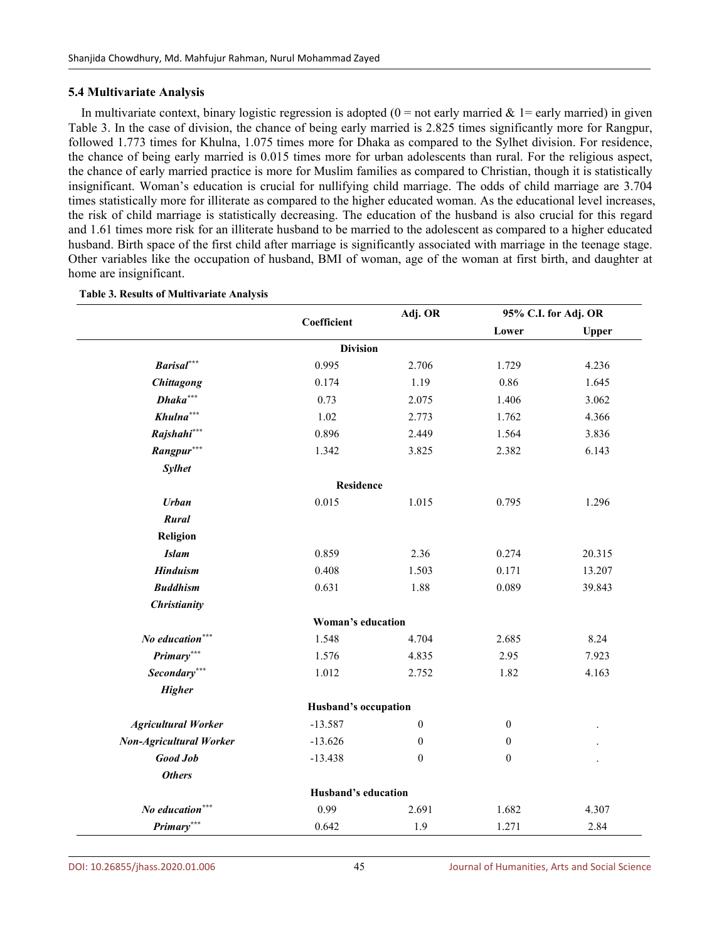#### **5.4 Multivariate Analysis**

In multivariate context, binary logistic regression is adopted  $(0 = not early married & 1 = early married)$  in given Table 3. In the case of division, the chance of being early married is 2.825 times significantly more for Rangpur, followed 1.773 times for Khulna, 1.075 times more for Dhaka as compared to the Sylhet division. For residence, the chance of being early married is 0.015 times more for urban adolescents than rural. For the religious aspect, the chance of early married practice is more for Muslim families as compared to Christian, though it is statistically insignificant. Woman's education is crucial for nullifying child marriage. The odds of child marriage are 3.704 times statistically more for illiterate as compared to the higher educated woman. As the educational level increases, the risk of child marriage is statistically decreasing. The education of the husband is also crucial for this regard and 1.61 times more risk for an illiterate husband to be married to the adolescent as compared to a higher educated husband. Birth space of the first child after marriage is significantly associated with marriage in the teenage stage. Other variables like the occupation of husband, BMI of woman, age of the woman at first birth, and daughter at home are insignificant.

|                                | Coefficient          | Adj. OR          | 95% C.I. for Adj. OR |              |
|--------------------------------|----------------------|------------------|----------------------|--------------|
|                                |                      |                  | Lower                | <b>Upper</b> |
|                                | <b>Division</b>      |                  |                      |              |
| <b>Barisal</b> ***             | 0.995                | 2.706            | 1.729                | 4.236        |
| <b>Chittagong</b>              | 0.174                | 1.19             | 0.86                 | 1.645        |
| $Dhaka***$                     | 0.73                 | 2.075            | 1.406                | 3.062        |
| $Khulna***$                    | 1.02                 | 2.773            | 1.762                | 4.366        |
| Rajshahi***                    | 0.896                | 2.449            | 1.564                | 3.836        |
| Rangpur***                     | 1.342                | 3.825            | 2.382                | 6.143        |
| <b>Sylhet</b>                  |                      |                  |                      |              |
|                                | <b>Residence</b>     |                  |                      |              |
| <b>Urban</b>                   | 0.015                | 1.015            | 0.795                | 1.296        |
| Rural                          |                      |                  |                      |              |
| Religion                       |                      |                  |                      |              |
| <b>Islam</b>                   | 0.859                | 2.36             | 0.274                | 20.315       |
| <b>Hinduism</b>                | 0.408                | 1.503            | 0.171                | 13.207       |
| <b>Buddhism</b>                | 0.631                | 1.88             | 0.089                | 39.843       |
| <b>Christianity</b>            |                      |                  |                      |              |
|                                | Woman's education    |                  |                      |              |
| No education***                | 1.548                | 4.704            | 2.685                | 8.24         |
| Primary***                     | 1.576                | 4.835            | 2.95                 | 7.923        |
| Secondary***                   | 1.012                | 2.752            | 1.82                 | 4.163        |
| <b>Higher</b>                  |                      |                  |                      |              |
|                                | Husband's occupation |                  |                      |              |
| <b>Agricultural Worker</b>     | $-13.587$            | $\overline{0}$   | $\boldsymbol{0}$     |              |
| <b>Non-Agricultural Worker</b> | $-13.626$            | $\boldsymbol{0}$ | $\boldsymbol{0}$     |              |
| <b>Good Job</b>                | $-13.438$            | $\boldsymbol{0}$ | $\boldsymbol{0}$     |              |
| <b>Others</b>                  |                      |                  |                      |              |
|                                | Husband's education  |                  |                      |              |
| No education***                | 0.99                 | 2.691            | 1.682                | 4.307        |
| Primary***                     | 0.642                | 1.9              | 1.271                | 2.84         |

#### **Table 3. Results of Multivariate Analysis**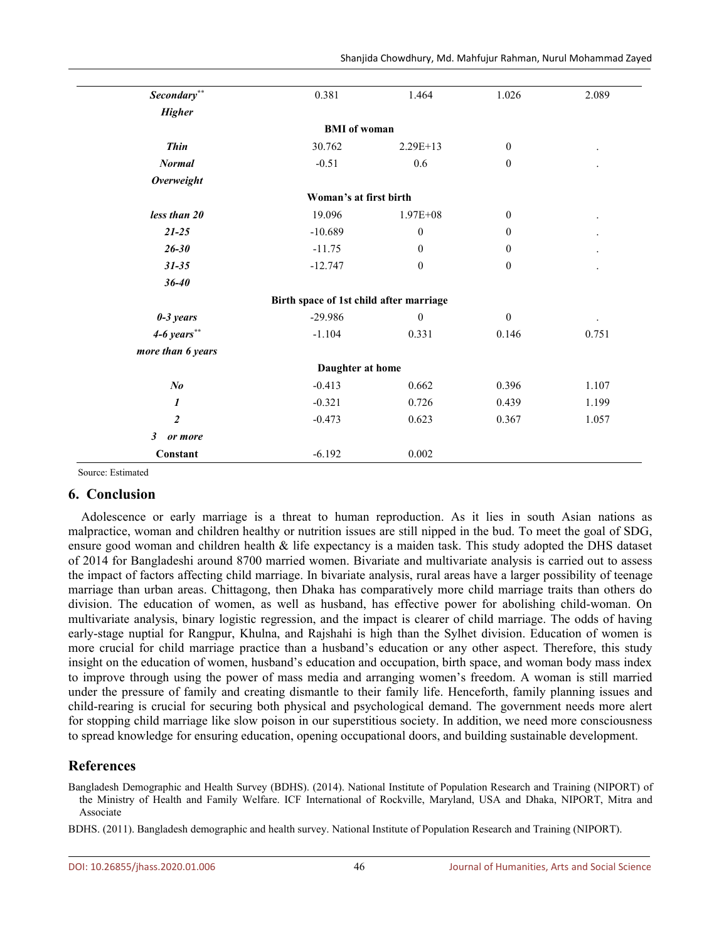| $\boldsymbol{Secondary}^{**}$ | 0.381                                   | 1.464            | 1.026            | 2.089 |
|-------------------------------|-----------------------------------------|------------------|------------------|-------|
| <b>Higher</b>                 |                                         |                  |                  |       |
|                               | <b>BMI</b> of woman                     |                  |                  |       |
| <b>Thin</b>                   | 30.762                                  | $2.29E+13$       | $\overline{0}$   |       |
| <b>Normal</b>                 | $-0.51$                                 | 0.6              | $\boldsymbol{0}$ |       |
| <b>Overweight</b>             |                                         |                  |                  |       |
|                               | Woman's at first birth                  |                  |                  |       |
| less than 20                  | 19.096                                  | $1.97E + 08$     | $\boldsymbol{0}$ |       |
| $21 - 25$                     | $-10.689$                               | $\boldsymbol{0}$ | $\boldsymbol{0}$ |       |
| $26 - 30$                     | $-11.75$                                | $\Omega$         | $\overline{0}$   |       |
| $31 - 35$                     | $-12.747$                               | $\boldsymbol{0}$ | $\boldsymbol{0}$ |       |
| $36 - 40$                     |                                         |                  |                  |       |
|                               | Birth space of 1st child after marriage |                  |                  |       |
| $0-3$ years                   | $-29.986$                               | $\boldsymbol{0}$ | $\boldsymbol{0}$ |       |
| $4-6 \text{ years}$ **        | $-1.104$                                | 0.331            | 0.146            | 0.751 |
| more than 6 years             |                                         |                  |                  |       |
|                               | Daughter at home                        |                  |                  |       |
| $N_{0}$                       | $-0.413$                                | 0.662            | 0.396            | 1.107 |
| $\boldsymbol{\mathit{1}}$     | $-0.321$                                | 0.726            | 0.439            | 1.199 |
| $\overline{2}$                | $-0.473$                                | 0.623            | 0.367            | 1.057 |
| $\mathfrak{z}$<br>or more     |                                         |                  |                  |       |
| Constant                      | $-6.192$                                | 0.002            |                  |       |

Source: Estimated

# **6. Conclusion**

Adolescence or early marriage is a threat to human reproduction. As it lies in south Asian nations as malpractice, woman and children healthy or nutrition issues are still nipped in the bud. To meet the goal of SDG, ensure good woman and children health & life expectancy is a maiden task. This study adopted the DHS dataset of 2014 for Bangladeshi around 8700 married women. Bivariate and multivariate analysis is carried out to assess the impact of factors affecting child marriage. In bivariate analysis, rural areas have a larger possibility of teenage marriage than urban areas. Chittagong, then Dhaka has comparatively more child marriage traits than others do division. The education of women, as well as husband, has effective power for abolishing child-woman. On multivariate analysis, binary logistic regression, and the impact is clearer of child marriage. The odds of having early-stage nuptial for Rangpur, Khulna, and Rajshahi is high than the Sylhet division. Education of women is more crucial for child marriage practice than a husband's education or any other aspect. Therefore, this study insight on the education of women, husband's education and occupation, birth space, and woman body mass index to improve through using the power of mass media and arranging women's freedom. A woman is still married under the pressure of family and creating dismantle to their family life. Henceforth, family planning issues and child-rearing is crucial for securing both physical and psychological demand. The government needs more alert for stopping child marriage like slow poison in our superstitious society. In addition, we need more consciousness to spread knowledge for ensuring education, opening occupational doors, and building sustainable development.

# **References**

Bangladesh Demographic and Health Survey (BDHS). (2014). National Institute of Population Research and Training (NIPORT) of the Ministry of Health and Family Welfare. ICF International of Rockville, Maryland, USA and Dhaka, NIPORT, Mitra and Associate

BDHS. (2011). Bangladesh demographic and health survey. National Institute of Population Research and Training (NIPORT).